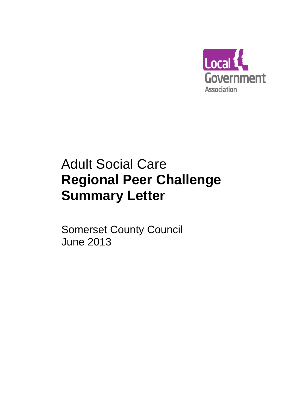

# Adult Social Care **Regional Peer Challenge Summary Letter**

Somerset County Council June 2013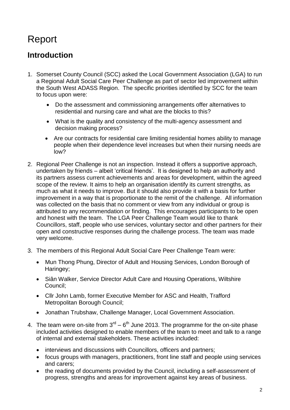## Report

### **Introduction**

- 1. Somerset County Council (SCC) asked the Local Government Association (LGA) to run a Regional Adult Social Care Peer Challenge as part of sector led improvement within the South West ADASS Region. The specific priorities identified by SCC for the team to focus upon were:
	- Do the assessment and commissioning arrangements offer alternatives to residential and nursing care and what are the blocks to this?
	- What is the quality and consistency of the multi-agency assessment and decision making process?
	- Are our contracts for residential care limiting residential homes ability to manage people when their dependence level increases but when their nursing needs are low?
- 2. Regional Peer Challenge is not an inspection. Instead it offers a supportive approach, undertaken by friends – albeit 'critical friends'. It is designed to help an authority and its partners assess current achievements and areas for development, within the agreed scope of the review. It aims to help an organisation identify its current strengths, as much as what it needs to improve. But it should also provide it with a basis for further improvement in a way that is proportionate to the remit of the challenge. All information was collected on the basis that no comment or view from any individual or group is attributed to any recommendation or finding. This encourages participants to be open and honest with the team. The LGA Peer Challenge Team would like to thank Councillors, staff, people who use services, voluntary sector and other partners for their open and constructive responses during the challenge process. The team was made very welcome.
- 3. The members of this Regional Adult Social Care Peer Challenge Team were:
	- Mun Thong Phung, Director of Adult and Housing Services, London Borough of Haringey;
	- Siân Walker, Service Director Adult Care and Housing Operations, Wiltshire Council;
	- Cllr John Lamb, former Executive Member for ASC and Health, Trafford Metropolitan Borough Council;
	- Jonathan Trubshaw, Challenge Manager, Local Government Association.
- 4. The team were on-site from  $3<sup>rd</sup> 6<sup>th</sup>$  June 2013. The programme for the on-site phase included activities designed to enable members of the team to meet and talk to a range of internal and external stakeholders. These activities included:
	- interviews and discussions with Councillors, officers and partners;
	- focus groups with managers, practitioners, front line staff and people using services and carers;
	- the reading of documents provided by the Council, including a self-assessment of progress, strengths and areas for improvement against key areas of business.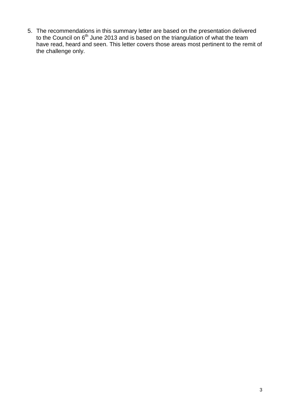5. The recommendations in this summary letter are based on the presentation delivered to the Council on  $6<sup>th</sup>$  June 2013 and is based on the triangulation of what the team have read, heard and seen. This letter covers those areas most pertinent to the remit of the challenge only.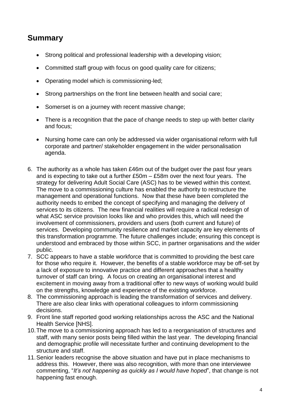### **Summary**

- Strong political and professional leadership with a developing vision;
- Committed staff group with focus on good quality care for citizens;
- Operating model which is commissioning-led;
- Strong partnerships on the front line between health and social care;
- Somerset is on a journey with recent massive change;
- There is a recognition that the pace of change needs to step up with better clarity and focus;
- Nursing home care can only be addressed via wider organisational reform with full corporate and partner/ stakeholder engagement in the wider personalisation agenda.
- 6. The authority as a whole has taken £46m out of the budget over the past four years and is expecting to take out a further £50m – £58m over the next four years. The strategy for delivering Adult Social Care (ASC) has to be viewed within this context. The move to a commissioning culture has enabled the authority to restructure the management and operational functions. Now that these have been completed the authority needs to embed the concept of specifying and managing the delivery of services to its citizens. The new financial realities will require a radical redesign of what ASC service provision looks like and who provides this, which will need the involvement of commissioners, providers and users (both current and future) of services. Developing community resilience and market capacity are key elements of this transformation programme. The future challenges include; ensuring this concept is understood and embraced by those within SCC, in partner organisations and the wider public.
- 7. SCC appears to have a stable workforce that is committed to providing the best care for those who require it. However, the benefits of a stable workforce may be off-set by a lack of exposure to innovative practice and different approaches that a healthy turnover of staff can bring. A focus on creating an organisational interest and excitement in moving away from a traditional offer to new ways of working would build on the strengths, knowledge and experience of the existing workforce.
- 8. The commissioning approach is leading the transformation of services and delivery. There are also clear links with operational colleagues to inform commissioning decisions.
- 9. Front line staff reported good working relationships across the ASC and the National Health Service [NHS].
- 10.The move to a commissioning approach has led to a reorganisation of structures and staff, with many senior posts being filled within the last year. The developing financial and demographic profile will necessitate further and continuing development to the structure and staff.
- 11.Senior leaders recognise the above situation and have put in place mechanisms to address this. However, there was also recognition, with more than one interviewee commenting, "*It's not happening as quickly as I would have hoped*", that change is not happening fast enough.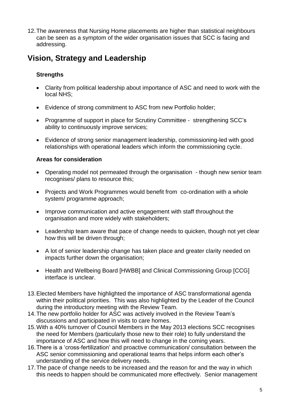12.The awareness that Nursing Home placements are higher than statistical neighbours can be seen as a symptom of the wider organisation issues that SCC is facing and addressing.

### **Vision, Strategy and Leadership**

### **Strengths**

- Clarity from political leadership about importance of ASC and need to work with the local NHS;
- Evidence of strong commitment to ASC from new Portfolio holder;
- Programme of support in place for Scrutiny Committee strengthening SCC's ability to continuously improve services;
- Evidence of strong senior management leadership, commissioning-led with good relationships with operational leaders which inform the commissioning cycle.

#### **Areas for consideration**

- Operating model not permeated through the organisation though new senior team recognises/ plans to resource this;
- Projects and Work Programmes would benefit from co-ordination with a whole system/ programme approach;
- Improve communication and active engagement with staff throughout the organisation and more widely with stakeholders;
- Leadership team aware that pace of change needs to quicken, though not yet clear how this will be driven through;
- A lot of senior leadership change has taken place and greater clarity needed on impacts further down the organisation;
- Health and Wellbeing Board [HWBB] and Clinical Commissioning Group [CCG] interface is unclear.
- 13.Elected Members have highlighted the importance of ASC transformational agenda within their political priorities. This was also highlighted by the Leader of the Council during the introductory meeting with the Review Team.
- 14.The new portfolio holder for ASC was actively involved in the Review Team's discussions and participated in visits to care homes.
- 15.With a 40% turnover of Council Members in the May 2013 elections SCC recognises the need for Members (particularly those new to their role) to fully understand the importance of ASC and how this will need to change in the coming years.
- 16.There is a 'cross-fertilization' and proactive communication/ consultation between the ASC senior commissioning and operational teams that helps inform each other's understanding of the service delivery needs.
- 17.The pace of change needs to be increased and the reason for and the way in which this needs to happen should be communicated more effectively. Senior management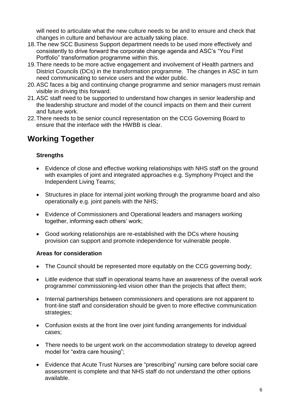will need to articulate what the new culture needs to be and to ensure and check that changes in culture and behaviour are actually taking place.

- 18.The new SCC Business Support department needs to be used more effectively and consistently to drive forward the corporate change agenda and ASC's "You First Portfolio" transformation programme within this.
- 19.There needs to be more active engagement and involvement of Health partners and District Councils (DCs) in the transformation programme. The changes in ASC in turn need communicating to service users and the wider public.
- 20.ASC faces a big and continuing change programme and senior managers must remain visible in driving this forward.
- 21.ASC staff need to be supported to understand how changes in senior leadership and the leadership structure and model of the council impacts on them and their current and future work.
- 22.There needs to be senior council representation on the CCG Governing Board to ensure that the interface with the HWBB is clear.

### **Working Together**

### **Strengths**

- Evidence of close and effective working relationships with NHS staff on the ground with examples of joint and integrated approaches e.g. Symphony Project and the Independent Living Teams;
- Structures in place for internal joint working through the programme board and also operationally e.g. joint panels with the NHS;
- Evidence of Commissioners and Operational leaders and managers working together, informing each others' work;
- Good working relationships are re-established with the DCs where housing provision can support and promote independence for vulnerable people.

### **Areas for consideration**

- The Council should be represented more equitably on the CCG governing body;
- Little evidence that staff in operational teams have an awareness of the overall work programme/ commissioning-led vision other than the projects that affect them;
- Internal partnerships between commissioners and operations are not apparent to front-line staff and consideration should be given to more effective communication strategies;
- Confusion exists at the front line over joint funding arrangements for individual cases;
- There needs to be urgent work on the accommodation strategy to develop agreed model for "extra care housing";
- Evidence that Acute Trust Nurses are "prescribing" nursing care before social care assessment is complete and that NHS staff do not understand the other options available.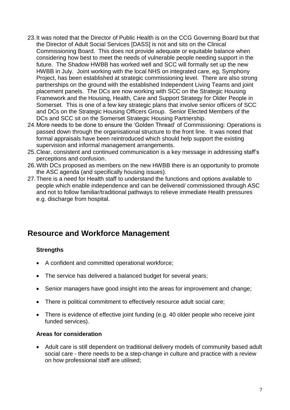- 23.It was noted that the Director of Public Health is on the CCG Governing Board but that the Director of Adult Social Services [DASS] is not and sits on the Clinical Commissioning Board. This does not provide adequate or equitable balance when considering how best to meet the needs of vulnerable people needing support in the future. The Shadow HWBB has worked well and SCC will formally set up the new HWBB in July. Joint working with the local NHS on integrated care, eg, Symphony Project, has been established at strategic commissioning level. There are also strong partnerships on the ground with the established Independent Living Teams and joint placement panels. The DCs are now working with SCC on the Strategic Housing Framework and the Housing, Health, Care and Support Strategy for Older People in Somerset. This is one of a few key strategic plans that involve senior officers of SCC and DCs on the Strategic Housing Officers Group. Senior Elected Members of the DCs and SCC sit on the Somerset Strategic Housing Partnership.
- 24.More needs to be done to ensure the 'Golden Thread' of Commissioning: Operations is passed down through the organisational structure to the front line. It was noted that formal appraisals have been reintroduced which should help support the existing supervision and informal management arrangements.
- 25.Clear, consistent and continued communication is a key message in addressing staff's perceptions and confusion.
- 26.With DCs proposed as members on the new HWBB there is an opportunity to promote the ASC agenda (and specifically housing issues).
- 27.There is a need for Health staff to understand the functions and options available to people which enable independence and can be delivered/ commissioned through ASC and not to follow familiar/traditional pathways to relieve immediate Health pressures e.g. discharge from hospital.

### **Resource and Workforce Management**

#### **Strengths**

- A confident and committed operational workforce;
- The service has delivered a balanced budget for several years;
- Senior managers have good insight into the areas for improvement and change;
- There is political commitment to effectively resource adult social care;
- There is evidence of effective joint funding (e.g. 40 older people who receive joint funded services).

#### **Areas for consideration**

 Adult care is still dependent on traditional delivery models of community based adult social care - there needs to be a step-change in culture and practice with a review on how professional staff are utilised;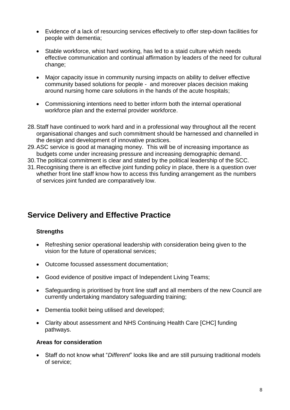- Evidence of a lack of resourcing services effectively to offer step-down facilities for people with dementia;
- Stable workforce, whist hard working, has led to a staid culture which needs effective communication and continual affirmation by leaders of the need for cultural change;
- Major capacity issue in community nursing impacts on ability to deliver effective community based solutions for people - and moreover places decision making around nursing home care solutions in the hands of the acute hospitals;
- Commissioning intentions need to better inform both the internal operational workforce plan and the external provider workforce.
- 28.Staff have continued to work hard and in a professional way throughout all the recent organisational changes and such commitment should be harnessed and channelled in the design and development of innovative practices.
- 29.ASC service is good at managing money. This will be of increasing importance as budgets come under increasing pressure and increasing demographic demand.
- 30.The political commitment is clear and stated by the political leadership of the SCC.
- 31.Recognising there is an effective joint funding policy in place, there is a question over whether front line staff know how to access this funding arrangement as the numbers of services joint funded are comparatively low.

### **Service Delivery and Effective Practice**

#### **Strengths**

- Refreshing senior operational leadership with consideration being given to the vision for the future of operational services;
- Outcome focussed assessment documentation;
- Good evidence of positive impact of Independent Living Teams;
- Safeguarding is prioritised by front line staff and all members of the new Council are currently undertaking mandatory safeguarding training;
- Dementia toolkit being utilised and developed;
- Clarity about assessment and NHS Continuing Health Care [CHC] funding pathways.

#### **Areas for consideration**

 Staff do not know what "*Different*" looks like and are still pursuing traditional models of service;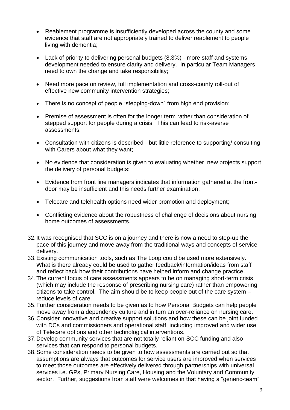- Reablement programme is insufficiently developed across the county and some evidence that staff are not appropriately trained to deliver reablement to people living with dementia;
- Lack of priority to delivering personal budgets (8.3%) more staff and systems development needed to ensure clarity and delivery. In particular Team Managers need to own the change and take responsibility;
- Need more pace on review, full implementation and cross-county roll-out of effective new community intervention strategies;
- There is no concept of people "stepping-down" from high end provision;
- Premise of assessment is often for the longer term rather than consideration of stepped support for people during a crisis. This can lead to risk-averse assessments;
- Consultation with citizens is described but little reference to supporting/ consulting with Carers about what they want;
- No evidence that consideration is given to evaluating whether new projects support the delivery of personal budgets;
- Evidence from front line managers indicates that information gathered at the frontdoor may be insufficient and this needs further examination;
- Telecare and telehealth options need wider promotion and deployment:
- Conflicting evidence about the robustness of challenge of decisions about nursing home outcomes of assessments.
- 32.It was recognised that SCC is on a journey and there is now a need to step-up the pace of this journey and move away from the traditional ways and concepts of service delivery.
- 33.Existing communication tools, such as The Loop could be used more extensively. What is there already could be used to gather feedback/information/ideas from staff and reflect back how their contributions have helped inform and change practice.
- 34.The current focus of care assessments appears to be on managing short-term crisis (which may include the response of prescribing nursing care) rather than empowering citizens to take control. The aim should be to keep people out of the care system – reduce levels of care.
- 35.Further consideration needs to be given as to how Personal Budgets can help people move away from a dependency culture and in turn an over-reliance on nursing care.
- 36.Consider innovative and creative support solutions and how these can be joint funded with DCs and commissioners and operational staff, including improved and wider use of Telecare options and other technological interventions.
- 37.Develop community services that are not totally reliant on SCC funding and also services that can respond to personal budgets.
- 38.Some consideration needs to be given to how assessments are carried out so that assumptions are always that outcomes for service users are improved when services to meet those outcomes are effectively delivered through partnerships with universal services i.e. GPs, Primary Nursing Care, Housing and the Voluntary and Community sector. Further, suggestions from staff were welcomes in that having a "generic-team"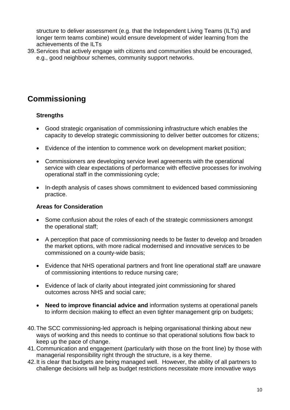structure to deliver assessment (e.g. that the Independent Living Teams (ILTs) and longer term teams combine) would ensure development of wider learning from the achievements of the ILTs

39.Services that actively engage with citizens and communities should be encouraged, e.g., good neighbour schemes, community support networks.

### **Commissioning**

#### **Strengths**

- Good strategic organisation of commissioning infrastructure which enables the capacity to develop strategic commissioning to deliver better outcomes for citizens;
- Evidence of the intention to commence work on development market position;
- Commissioners are developing service level agreements with the operational service with clear expectations of performance with effective processes for involving operational staff in the commissioning cycle;
- In-depth analysis of cases shows commitment to evidenced based commissioning practice.

#### **Areas for Consideration**

- Some confusion about the roles of each of the strategic commissioners amongst the operational staff;
- A perception that pace of commissioning needs to be faster to develop and broaden the market options, with more radical modernised and innovative services to be commissioned on a county-wide basis;
- Evidence that NHS operational partners and front line operational staff are unaware of commissioning intentions to reduce nursing care;
- Evidence of lack of clarity about integrated joint commissioning for shared outcomes across NHS and social care;
- **Need to improve financial advice and** information systems at operational panels to inform decision making to effect an even tighter management grip on budgets;
- 40.The SCC commissioning-led approach is helping organisational thinking about new ways of working and this needs to continue so that operational solutions flow back to keep up the pace of change.
- 41.Communication and engagement (particularly with those on the front line) by those with managerial responsibility right through the structure, is a key theme.
- 42.It is clear that budgets are being managed well. However, the ability of all partners to challenge decisions will help as budget restrictions necessitate more innovative ways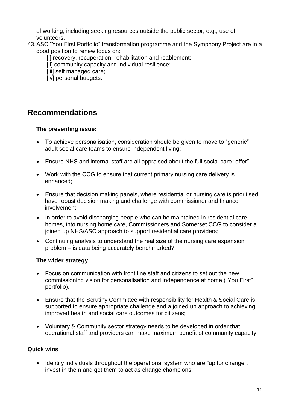of working, including seeking resources outside the public sector, e.g., use of volunteers.

- 43.ASC "You First Portfolio" transformation programme and the Symphony Project are in a good position to renew focus on:
	- [i] recovery, recuperation, rehabilitation and reablement;
	- [ii] community capacity and individual resilience:
	- [iii] self managed care;
	- [iv] personal budgets.

### **Recommendations**

#### **The presenting issue:**

- To achieve personalisation, consideration should be given to move to "generic" adult social care teams to ensure independent living;
- Ensure NHS and internal staff are all appraised about the full social care "offer";
- Work with the CCG to ensure that current primary nursing care delivery is enhanced;
- Ensure that decision making panels, where residential or nursing care is prioritised, have robust decision making and challenge with commissioner and finance involvement;
- In order to avoid discharging people who can be maintained in residential care homes, into nursing home care, Commissioners and Somerset CCG to consider a joined up NHS/ASC approach to support residential care providers;
- Continuing analysis to understand the real size of the nursing care expansion problem – is data being accurately benchmarked?

### **The wider strategy**

- Focus on communication with front line staff and citizens to set out the new commissioning vision for personalisation and independence at home ("You First" portfolio).
- Ensure that the Scrutiny Committee with responsibility for Health & Social Care is supported to ensure appropriate challenge and a joined up approach to achieving improved health and social care outcomes for citizens;
- Voluntary & Community sector strategy needs to be developed in order that operational staff and providers can make maximum benefit of community capacity.

### **Quick wins**

• Identify individuals throughout the operational system who are "up for change", invest in them and get them to act as change champions;